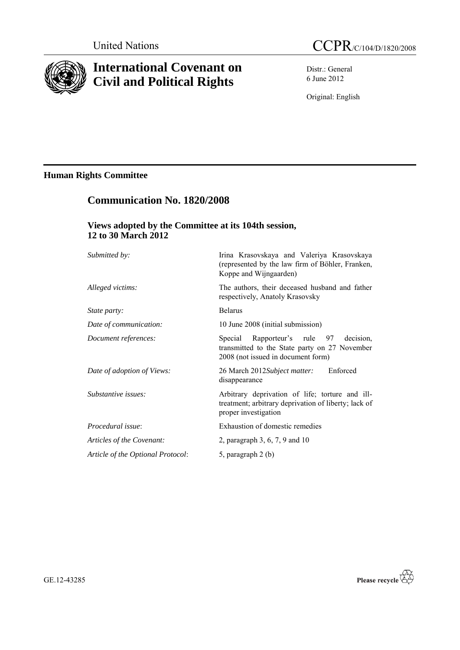

# **International Covenant on Civil and Political Rights**

**Communication No. 1820/2008**

Distr.: General 6 June 2012

Original: English

# **Human Rights Committee**

| Views adopted by the Committee at its 104th session,<br>12 to 30 March 2012 |                                                                                                                                  |
|-----------------------------------------------------------------------------|----------------------------------------------------------------------------------------------------------------------------------|
| Submitted by:                                                               | Irina Krasovskaya and Valeriya Krasovskaya<br>(represented by the law firm of Böhler, Franken,<br>Koppe and Wijngaarden)         |
| Alleged victims:                                                            | The authors, their deceased husband and father<br>respectively, Anatoly Krasovsky                                                |
| <i>State party:</i>                                                         | <b>Belarus</b>                                                                                                                   |
| Date of communication:                                                      | 10 June 2008 (initial submission)                                                                                                |
| Document references:                                                        | Special Rapporteur's rule 97<br>decision.<br>transmitted to the State party on 27 November<br>2008 (not issued in document form) |
| Date of adoption of Views:                                                  | 26 March 2012Subject matter:<br>Enforced<br>disappearance                                                                        |
| Substantive issues:                                                         | Arbitrary deprivation of life; torture and ill-<br>treatment; arbitrary deprivation of liberty; lack of<br>proper investigation  |
| Procedural issue:                                                           | Exhaustion of domestic remedies                                                                                                  |
| Articles of the Covenant:                                                   | 2, paragraph 3, 6, 7, 9 and 10                                                                                                   |
| Article of the Optional Protocol:                                           | 5, paragraph 2 (b)                                                                                                               |

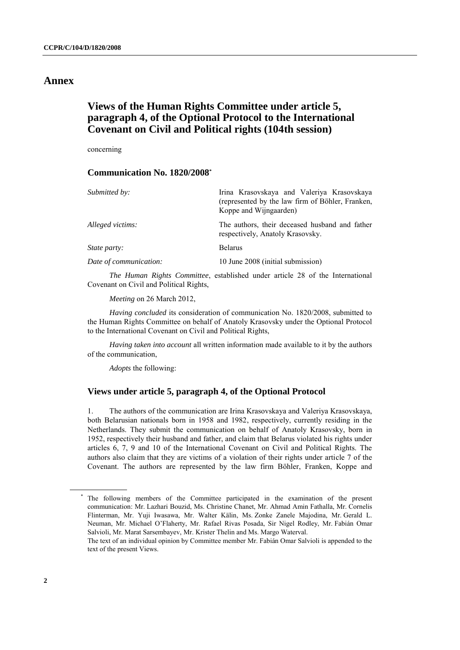## **Annex**

# **Views of the Human Rights Committee under article 5, paragraph 4, of the Optional Protocol to the International Covenant on Civil and Political rights (104th session)**

concerning

#### **Communication No. 1820/2008\***

| Submitted by:          | Irina Krasovskaya and Valeriya Krasovskaya<br>(represented by the law firm of Böhler, Franken,<br>Koppe and Wijngaarden) |
|------------------------|--------------------------------------------------------------------------------------------------------------------------|
| Alleged victims:       | The authors, their deceased husband and father<br>respectively, Anatoly Krasovsky.                                       |
| <i>State party:</i>    | <b>Belarus</b>                                                                                                           |
| Date of communication: | 10 June 2008 (initial submission)                                                                                        |

*The Human Rights Committee*, established under article 28 of the International Covenant on Civil and Political Rights,

*Meeting* on 26 March 2012,

*Having concluded* its consideration of communication No. 1820/2008, submitted to the Human Rights Committee on behalf of Anatoly Krasovsky under the Optional Protocol to the International Covenant on Civil and Political Rights,

*Having taken into account* all written information made available to it by the authors of the communication,

*Adopts* the following:

### **Views under article 5, paragraph 4, of the Optional Protocol**

1. The authors of the communication are Irina Krasovskaya and Valeriya Krasovskaya, both Belarusian nationals born in 1958 and 1982, respectively, currently residing in the Netherlands. They submit the communication on behalf of Anatoly Krasovsky, born in 1952, respectively their husband and father, and claim that Belarus violated his rights under articles 6, 7, 9 and 10 of the International Covenant on Civil and Political Rights. The authors also claim that they are victims of a violation of their rights under article 7 of the Covenant. The authors are represented by the law firm Böhler, Franken, Koppe and

<sup>\*</sup> The following members of the Committee participated in the examination of the present communication: Mr. Lazhari Bouzid, Ms. Christine Chanet, Mr. Ahmad Amin Fathalla, Mr. Cornelis Flinterman, Mr. Yuji Iwasawa, Mr. Walter Kälin, Ms. Zonke Zanele Majodina, Mr. Gerald L. Neuman, Mr. Michael O'Flaherty, Mr. Rafael Rivas Posada, Sir Nigel Rodley, Mr. Fabián Omar Salvioli, Mr. Marat Sarsembayev, Mr. Krister Thelin and Ms. Margo Waterval.

The text of an individual opinion by Committee member Mr. Fabián Omar Salvioli is appended to the text of the present Views.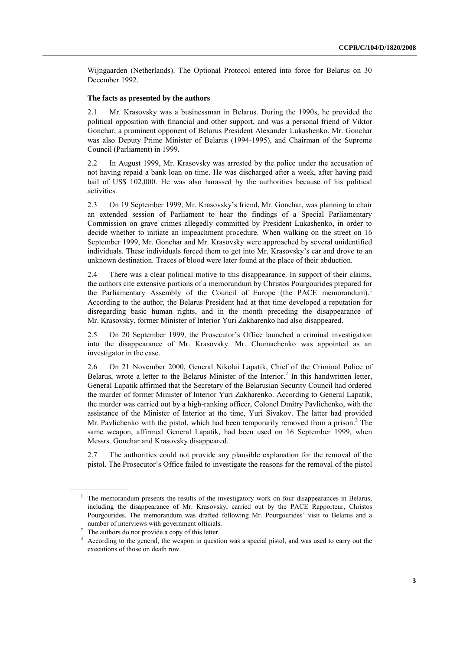Wijngaarden (Netherlands). The Optional Protocol entered into force for Belarus on 30 December 1992.

#### **The facts as presented by the authors**

2.1 Mr. Krasovsky was a businessman in Belarus. During the 1990s, he provided the political opposition with financial and other support, and was a personal friend of Viktor Gonchar, a prominent opponent of Belarus President Alexander Lukashenko. Mr. Gonchar was also Deputy Prime Minister of Belarus (1994-1995), and Chairman of the Supreme Council (Parliament) in 1999.

2.2 In August 1999, Mr. Krasovsky was arrested by the police under the accusation of not having repaid a bank loan on time. He was discharged after a week, after having paid bail of US\$ 102,000. He was also harassed by the authorities because of his political activities.

2.3 On 19 September 1999, Mr. Krasovsky's friend, Mr. Gonchar, was planning to chair an extended session of Parliament to hear the findings of a Special Parliamentary Commission on grave crimes allegedly committed by President Lukashenko, in order to decide whether to initiate an impeachment procedure. When walking on the street on 16 September 1999, Mr. Gonchar and Mr. Krasovsky were approached by several unidentified individuals. These individuals forced them to get into Mr. Krasovsky's car and drove to an unknown destination. Traces of blood were later found at the place of their abduction.

2.4 There was a clear political motive to this disappearance. In support of their claims, the authors cite extensive portions of a memorandum by Christos Pourgourides prepared for the Parliamentary Assembly of the Council of Europe (the PACE memorandum).<sup>1</sup> According to the author, the Belarus President had at that time developed a reputation for disregarding basic human rights, and in the month preceding the disappearance of Mr. Krasovsky, former Minister of Interior Yuri Zakharenko had also disappeared.

2.5 On 20 September 1999, the Prosecutor's Office launched a criminal investigation into the disappearance of Mr. Krasovsky. Mr. Chumachenko was appointed as an investigator in the case.

2.6 On 21 November 2000, General Nikolai Lapatik, Chief of the Criminal Police of Belarus, wrote a letter to the Belarus Minister of the Interior.<sup>2</sup> In this handwritten letter, General Lapatik affirmed that the Secretary of the Belarusian Security Council had ordered the murder of former Minister of Interior Yuri Zakharenko. According to General Lapatik, the murder was carried out by a high-ranking officer, Colonel Dmitry Pavlichenko, with the assistance of the Minister of Interior at the time, Yuri Sivakov. The latter had provided Mr. Pavlichenko with the pistol, which had been temporarily removed from a prison. <sup>3</sup> The same weapon, affirmed General Lapatik, had been used on 16 September 1999, when Messrs. Gonchar and Krasovsky disappeared.

2.7 The authorities could not provide any plausible explanation for the removal of the pistol. The Prosecutor's Office failed to investigate the reasons for the removal of the pistol

 $<sup>1</sup>$  The memorandum presents the results of the investigatory work on four disappearances in Belarus,</sup> including the disappearance of Mr. Krasovsky, carried out by the PACE Rapporteur, Christos Pourgourides. The memorandum was drafted following Mr. Pourgourides' visit to Belarus and a number of interviews with government officials.

<sup>&</sup>lt;sup>2</sup> The authors do not provide a copy of this letter.

<sup>&</sup>lt;sup>3</sup> According to the general, the weapon in question was a special pistol, and was used to carry out the executions of those on death row.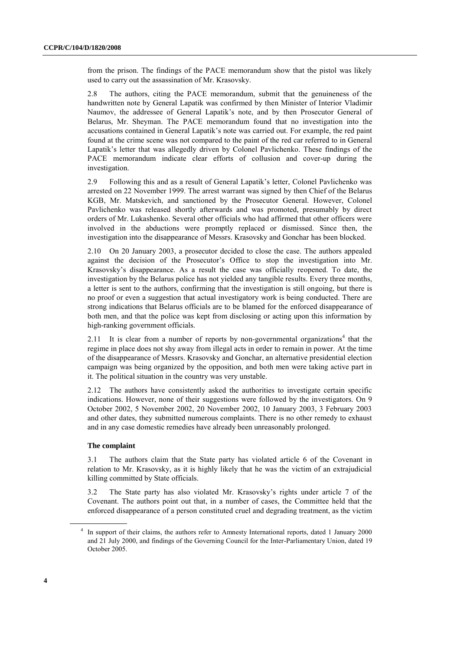from the prison. The findings of the PACE memorandum show that the pistol was likely used to carry out the assassination of Mr. Krasovsky.

2.8 The authors, citing the PACE memorandum, submit that the genuineness of the handwritten note by General Lapatik was confirmed by then Minister of Interior Vladimir Naumov, the addressee of General Lapatik's note, and by then Prosecutor General of Belarus, Mr. Sheyman. The PACE memorandum found that no investigation into the accusations contained in General Lapatik's note was carried out. For example, the red paint found at the crime scene was not compared to the paint of the red car referred to in General Lapatik's letter that was allegedly driven by Colonel Pavlichenko. These findings of the PACE memorandum indicate clear efforts of collusion and cover-up during the investigation.

2.9 Following this and as a result of General Lapatik's letter, Colonel Pavlichenko was arrested on 22 November 1999. The arrest warrant was signed by then Chief of the Belarus KGB, Mr. Matskevich, and sanctioned by the Prosecutor General. However, Colonel Pavlichenko was released shortly afterwards and was promoted, presumably by direct orders of Mr. Lukashenko. Several other officials who had affirmed that other officers were involved in the abductions were promptly replaced or dismissed. Since then, the investigation into the disappearance of Messrs. Krasovsky and Gonchar has been blocked.

2.10 On 20 January 2003, a prosecutor decided to close the case. The authors appealed against the decision of the Prosecutor's Office to stop the investigation into Mr. Krasovsky's disappearance. As a result the case was officially reopened. To date, the investigation by the Belarus police has not yielded any tangible results. Every three months, a letter is sent to the authors, confirming that the investigation is still ongoing, but there is no proof or even a suggestion that actual investigatory work is being conducted. There are strong indications that Belarus officials are to be blamed for the enforced disappearance of both men, and that the police was kept from disclosing or acting upon this information by high-ranking government officials.

2.11 It is clear from a number of reports by non-governmental organizations<sup>4</sup> that the regime in place does not shy away from illegal acts in order to remain in power. At the time of the disappearance of Messrs. Krasovsky and Gonchar, an alternative presidential election campaign was being organized by the opposition, and both men were taking active part in it. The political situation in the country was very unstable.

2.12 The authors have consistently asked the authorities to investigate certain specific indications. However, none of their suggestions were followed by the investigators. On 9 October 2002, 5 November 2002, 20 November 2002, 10 January 2003, 3 February 2003 and other dates, they submitted numerous complaints. There is no other remedy to exhaust and in any case domestic remedies have already been unreasonably prolonged.

#### **The complaint**

3.1 The authors claim that the State party has violated article 6 of the Covenant in relation to Mr. Krasovsky, as it is highly likely that he was the victim of an extrajudicial killing committed by State officials.

3.2 The State party has also violated Mr. Krasovsky's rights under article 7 of the Covenant. The authors point out that, in a number of cases, the Committee held that the enforced disappearance of a person constituted cruel and degrading treatment, as the victim

<sup>4</sup> In support of their claims, the authors refer to Amnesty International reports, dated 1 January 2000 and 21 July 2000, and findings of the Governing Council for the Inter-Parliamentary Union, dated 19 October 2005.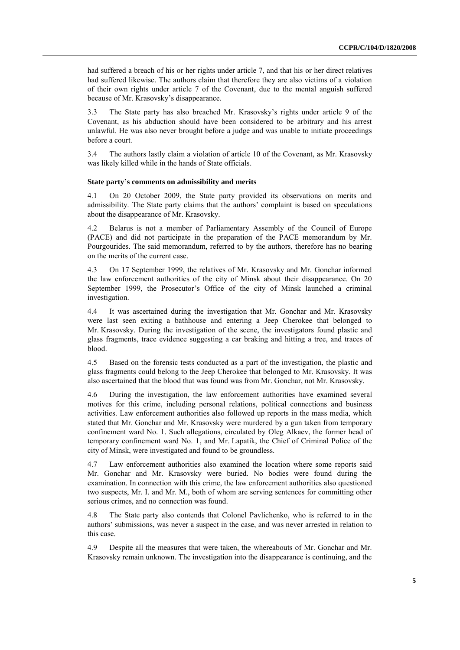had suffered a breach of his or her rights under article 7, and that his or her direct relatives had suffered likewise. The authors claim that therefore they are also victims of a violation of their own rights under article 7 of the Covenant, due to the mental anguish suffered because of Mr. Krasovsky's disappearance.

3.3 The State party has also breached Mr. Krasovsky's rights under article 9 of the Covenant, as his abduction should have been considered to be arbitrary and his arrest unlawful. He was also never brought before a judge and was unable to initiate proceedings before a court.

3.4 The authors lastly claim a violation of article 10 of the Covenant, as Mr. Krasovsky was likely killed while in the hands of State officials.

#### **State party's comments on admissibility and merits**

4.1 On 20 October 2009, the State party provided its observations on merits and admissibility. The State party claims that the authors' complaint is based on speculations about the disappearance of Mr. Krasovsky.

4.2 Belarus is not a member of Parliamentary Assembly of the Council of Europe (PACE) and did not participate in the preparation of the PACE memorandum by Mr. Pourgourides. The said memorandum, referred to by the authors, therefore has no bearing on the merits of the current case.

4.3 On 17 September 1999, the relatives of Mr. Krasovsky and Mr. Gonchar informed the law enforcement authorities of the city of Minsk about their disappearance. On 20 September 1999, the Prosecutor's Office of the city of Minsk launched a criminal investigation.

4.4 It was ascertained during the investigation that Mr. Gonchar and Mr. Krasovsky were last seen exiting a bathhouse and entering a Jeep Cherokee that belonged to Mr. Krasovsky. During the investigation of the scene, the investigators found plastic and glass fragments, trace evidence suggesting a car braking and hitting a tree, and traces of blood.

4.5 Based on the forensic tests conducted as a part of the investigation, the plastic and glass fragments could belong to the Jeep Cherokee that belonged to Mr. Krasovsky. It was also ascertained that the blood that was found was from Mr. Gonchar, not Mr. Krasovsky.

4.6 During the investigation, the law enforcement authorities have examined several motives for this crime, including personal relations, political connections and business activities. Law enforcement authorities also followed up reports in the mass media, which stated that Mr. Gonchar and Mr. Krasovsky were murdered by a gun taken from temporary confinement ward No. 1. Such allegations, circulated by Oleg Alkaev, the former head of temporary confinement ward No. 1, and Mr. Lapatik, the Chief of Criminal Police of the city of Minsk, were investigated and found to be groundless.

4.7 Law enforcement authorities also examined the location where some reports said Mr. Gonchar and Mr. Krasovsky were buried. No bodies were found during the examination. In connection with this crime, the law enforcement authorities also questioned two suspects, Mr. I. and Mr. M., both of whom are serving sentences for committing other serious crimes, and no connection was found.

4.8 The State party also contends that Colonel Pavlichenko, who is referred to in the authors' submissions, was never a suspect in the case, and was never arrested in relation to this case.

4.9 Despite all the measures that were taken, the whereabouts of Mr. Gonchar and Mr. Krasovsky remain unknown. The investigation into the disappearance is continuing, and the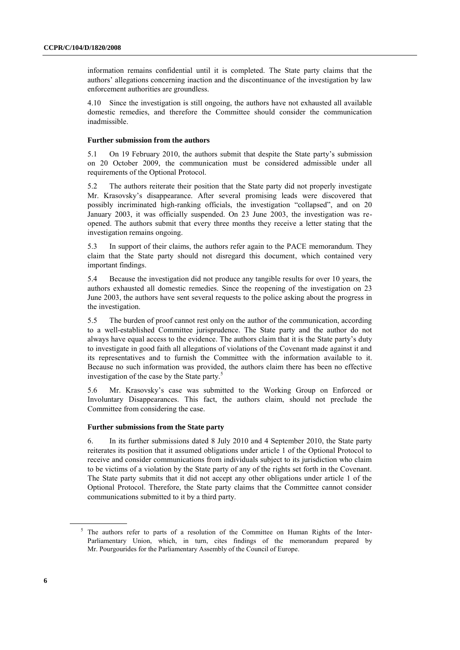information remains confidential until it is completed. The State party claims that the authors' allegations concerning inaction and the discontinuance of the investigation by law enforcement authorities are groundless.

4.10 Since the investigation is still ongoing, the authors have not exhausted all available domestic remedies, and therefore the Committee should consider the communication inadmissible.

#### **Further submission from the authors**

5.1 On 19 February 2010, the authors submit that despite the State party's submission on 20 October 2009, the communication must be considered admissible under all requirements of the Optional Protocol.

5.2 The authors reiterate their position that the State party did not properly investigate Mr. Krasovsky's disappearance. After several promising leads were discovered that possibly incriminated high-ranking officials, the investigation "collapsed", and on 20 January 2003, it was officially suspended. On 23 June 2003, the investigation was reopened. The authors submit that every three months they receive a letter stating that the investigation remains ongoing.

5.3 In support of their claims, the authors refer again to the PACE memorandum. They claim that the State party should not disregard this document, which contained very important findings.

5.4 Because the investigation did not produce any tangible results for over 10 years, the authors exhausted all domestic remedies. Since the reopening of the investigation on 23 June 2003, the authors have sent several requests to the police asking about the progress in the investigation.

5.5 The burden of proof cannot rest only on the author of the communication, according to a well-established Committee jurisprudence. The State party and the author do not always have equal access to the evidence. The authors claim that it is the State party's duty to investigate in good faith all allegations of violations of the Covenant made against it and its representatives and to furnish the Committee with the information available to it. Because no such information was provided, the authors claim there has been no effective investigation of the case by the State party.<sup>5</sup>

5.6 Mr. Krasovsky's case was submitted to the Working Group on Enforced or Involuntary Disappearances. This fact, the authors claim, should not preclude the Committee from considering the case.

#### **Further submissions from the State party**

6. In its further submissions dated 8 July 2010 and 4 September 2010, the State party reiterates its position that it assumed obligations under article 1 of the Optional Protocol to receive and consider communications from individuals subject to its jurisdiction who claim to be victims of a violation by the State party of any of the rights set forth in the Covenant. The State party submits that it did not accept any other obligations under article 1 of the Optional Protocol. Therefore, the State party claims that the Committee cannot consider communications submitted to it by a third party.

<sup>5</sup> The authors refer to parts of a resolution of the Committee on Human Rights of the Inter-Parliamentary Union, which, in turn, cites findings of the memorandum prepared by Mr. Pourgourides for the Parliamentary Assembly of the Council of Europe.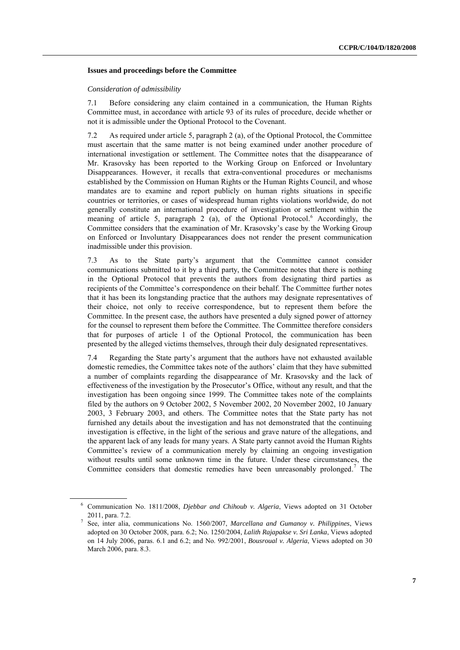#### **Issues and proceedings before the Committee**

#### *Consideration of admissibility*

7.1 Before considering any claim contained in a communication, the Human Rights Committee must, in accordance with article 93 of its rules of procedure, decide whether or not it is admissible under the Optional Protocol to the Covenant.

7.2 As required under article 5, paragraph 2 (a), of the Optional Protocol, the Committee must ascertain that the same matter is not being examined under another procedure of international investigation or settlement. The Committee notes that the disappearance of Mr. Krasovsky has been reported to the Working Group on Enforced or Involuntary Disappearances. However, it recalls that extra-conventional procedures or mechanisms established by the Commission on Human Rights or the Human Rights Council, and whose mandates are to examine and report publicly on human rights situations in specific countries or territories, or cases of widespread human rights violations worldwide, do not generally constitute an international procedure of investigation or settlement within the meaning of article 5, paragraph 2 (a), of the Optional Protocol.<sup>6</sup> Accordingly, the Committee considers that the examination of Mr. Krasovsky's case by the Working Group on Enforced or Involuntary Disappearances does not render the present communication inadmissible under this provision.

7.3 As to the State party's argument that the Committee cannot consider communications submitted to it by a third party, the Committee notes that there is nothing in the Optional Protocol that prevents the authors from designating third parties as recipients of the Committee's correspondence on their behalf. The Committee further notes that it has been its longstanding practice that the authors may designate representatives of their choice, not only to receive correspondence, but to represent them before the Committee. In the present case, the authors have presented a duly signed power of attorney for the counsel to represent them before the Committee. The Committee therefore considers that for purposes of article 1 of the Optional Protocol, the communication has been presented by the alleged victims themselves, through their duly designated representatives.

7.4 Regarding the State party's argument that the authors have not exhausted available domestic remedies, the Committee takes note of the authors' claim that they have submitted a number of complaints regarding the disappearance of Mr. Krasovsky and the lack of effectiveness of the investigation by the Prosecutor's Office, without any result, and that the investigation has been ongoing since 1999. The Committee takes note of the complaints filed by the authors on 9 October 2002, 5 November 2002, 20 November 2002, 10 January 2003, 3 February 2003, and others. The Committee notes that the State party has not furnished any details about the investigation and has not demonstrated that the continuing investigation is effective, in the light of the serious and grave nature of the allegations, and the apparent lack of any leads for many years. A State party cannot avoid the Human Rights Committee's review of a communication merely by claiming an ongoing investigation without results until some unknown time in the future. Under these circumstances, the Committee considers that domestic remedies have been unreasonably prolonged. <sup>7</sup> The

<sup>6</sup> Communication No. 1811/2008, *Djebbar and Chihoub v. Algeria*, Views adopted on 31 October 2011, para. 7.2.

<sup>7</sup> See, inter alia, communications No. 1560/2007, *Marcellana and Gumanoy v. Philippines*, Views adopted on 30 October 2008, para. 6.2; No. 1250/2004, *Lalith Rajapakse v. Sri Lanka*, Views adopted on 14 July 2006, paras. 6.1 and 6.2; and No. 992/2001, *Bousroual v. Algeria*, Views adopted on 30 March 2006, para. 8.3.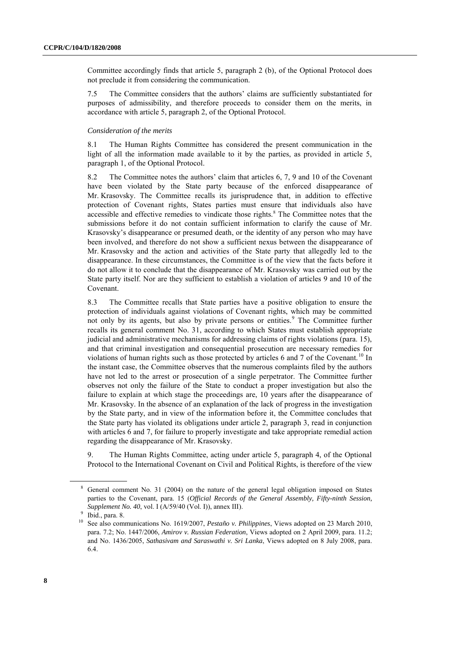Committee accordingly finds that article 5, paragraph 2 (b), of the Optional Protocol does not preclude it from considering the communication.

7.5 The Committee considers that the authors' claims are sufficiently substantiated for purposes of admissibility, and therefore proceeds to consider them on the merits, in accordance with article 5, paragraph 2, of the Optional Protocol.

#### *Consideration of the merits*

8.1 The Human Rights Committee has considered the present communication in the light of all the information made available to it by the parties, as provided in article 5, paragraph 1, of the Optional Protocol.

8.2 The Committee notes the authors' claim that articles 6, 7, 9 and 10 of the Covenant have been violated by the State party because of the enforced disappearance of Mr. Krasovsky. The Committee recalls its jurisprudence that, in addition to effective protection of Covenant rights, States parties must ensure that individuals also have accessible and effective remedies to vindicate those rights.<sup>8</sup> The Committee notes that the submissions before it do not contain sufficient information to clarify the cause of Mr. Krasovsky's disappearance or presumed death, or the identity of any person who may have been involved, and therefore do not show a sufficient nexus between the disappearance of Mr. Krasovsky and the action and activities of the State party that allegedly led to the disappearance. In these circumstances, the Committee is of the view that the facts before it do not allow it to conclude that the disappearance of Mr. Krasovsky was carried out by the State party itself. Nor are they sufficient to establish a violation of articles 9 and 10 of the Covenant.

8.3 The Committee recalls that State parties have a positive obligation to ensure the protection of individuals against violations of Covenant rights, which may be committed not only by its agents, but also by private persons or entities.<sup>9</sup> The Committee further recalls its general comment No. 31, according to which States must establish appropriate judicial and administrative mechanisms for addressing claims of rights violations (para. 15), and that criminal investigation and consequential prosecution are necessary remedies for violations of human rights such as those protected by articles 6 and 7 of the Covenant.<sup>10</sup> In the instant case, the Committee observes that the numerous complaints filed by the authors have not led to the arrest or prosecution of a single perpetrator. The Committee further observes not only the failure of the State to conduct a proper investigation but also the failure to explain at which stage the proceedings are, 10 years after the disappearance of Mr. Krasovsky. In the absence of an explanation of the lack of progress in the investigation by the State party, and in view of the information before it, the Committee concludes that the State party has violated its obligations under article 2, paragraph 3, read in conjunction with articles 6 and 7, for failure to properly investigate and take appropriate remedial action regarding the disappearance of Mr. Krasovsky.

9. The Human Rights Committee, acting under article 5, paragraph 4, of the Optional Protocol to the International Covenant on Civil and Political Rights, is therefore of the view

<sup>8</sup> General comment No. 31 (2004) on the nature of the general legal obligation imposed on States parties to the Covenant, para. 15 (*Official Records of the General Assembly, Fifty-ninth Session, Supplement No. 40*, vol. I (A/59/40 (Vol. I)), annex III).

<sup>&</sup>lt;sup>9</sup> Ibid., para. 8.

<sup>10</sup> See also communications No. 1619/2007, *Pestaño v. Philippines*, Views adopted on 23 March 2010, para. 7.2; No. 1447/2006, *Amirov v. Russian Federation*, Views adopted on 2 April 2009, para. 11.2; and No. 1436/2005, *Sathasivam and Saraswathi v. Sri Lanka*, Views adopted on 8 July 2008, para. 6.4.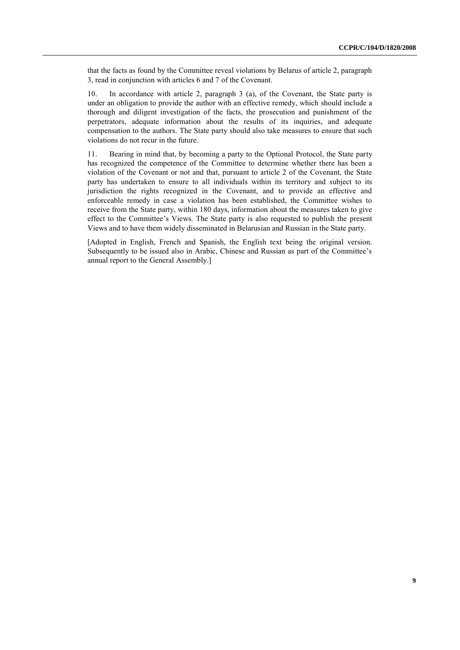that the facts as found by the Committee reveal violations by Belarus of article 2, paragraph 3, read in conjunction with articles 6 and 7 of the Covenant.

10. In accordance with article 2, paragraph 3 (a), of the Covenant, the State party is under an obligation to provide the author with an effective remedy, which should include a thorough and diligent investigation of the facts, the prosecution and punishment of the perpetrators, adequate information about the results of its inquiries, and adequate compensation to the authors. The State party should also take measures to ensure that such violations do not recur in the future.

11. Bearing in mind that, by becoming a party to the Optional Protocol, the State party has recognized the competence of the Committee to determine whether there has been a violation of the Covenant or not and that, pursuant to article 2 of the Covenant, the State party has undertaken to ensure to all individuals within its territory and subject to its jurisdiction the rights recognized in the Covenant, and to provide an effective and enforceable remedy in case a violation has been established, the Committee wishes to receive from the State party, within 180 days, information about the measures taken to give effect to the Committee's Views. The State party is also requested to publish the present Views and to have them widely disseminated in Belarusian and Russian in the State party.

[Adopted in English, French and Spanish, the English text being the original version. Subsequently to be issued also in Arabic, Chinese and Russian as part of the Committee's annual report to the General Assembly.]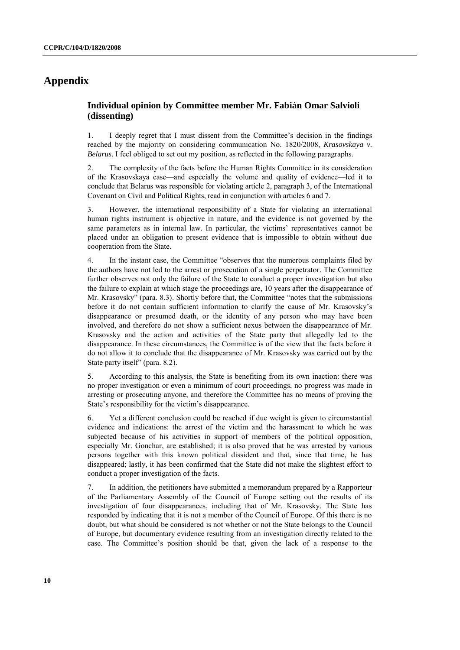## **Appendix**

### **Individual opinion by Committee member Mr. Fabián Omar Salvioli (dissenting)**

1. I deeply regret that I must dissent from the Committee's decision in the findings reached by the majority on considering communication No. 1820/2008, *Krasovskaya v. Belarus*. I feel obliged to set out my position, as reflected in the following paragraphs.

2. The complexity of the facts before the Human Rights Committee in its consideration of the Krasovskaya case—and especially the volume and quality of evidence—led it to conclude that Belarus was responsible for violating article 2, paragraph 3, of the International Covenant on Civil and Political Rights, read in conjunction with articles 6 and 7.

3. However, the international responsibility of a State for violating an international human rights instrument is objective in nature, and the evidence is not governed by the same parameters as in internal law. In particular, the victims' representatives cannot be placed under an obligation to present evidence that is impossible to obtain without due cooperation from the State.

4. In the instant case, the Committee "observes that the numerous complaints filed by the authors have not led to the arrest or prosecution of a single perpetrator. The Committee further observes not only the failure of the State to conduct a proper investigation but also the failure to explain at which stage the proceedings are, 10 years after the disappearance of Mr. Krasovsky" (para. 8.3). Shortly before that, the Committee "notes that the submissions before it do not contain sufficient information to clarify the cause of Mr. Krasovsky's disappearance or presumed death, or the identity of any person who may have been involved, and therefore do not show a sufficient nexus between the disappearance of Mr. Krasovsky and the action and activities of the State party that allegedly led to the disappearance. In these circumstances, the Committee is of the view that the facts before it do not allow it to conclude that the disappearance of Mr. Krasovsky was carried out by the State party itself" (para. 8.2).

5. According to this analysis, the State is benefiting from its own inaction: there was no proper investigation or even a minimum of court proceedings, no progress was made in arresting or prosecuting anyone, and therefore the Committee has no means of proving the State's responsibility for the victim's disappearance.

6. Yet a different conclusion could be reached if due weight is given to circumstantial evidence and indications: the arrest of the victim and the harassment to which he was subjected because of his activities in support of members of the political opposition, especially Mr. Gonchar, are established; it is also proved that he was arrested by various persons together with this known political dissident and that, since that time, he has disappeared; lastly, it has been confirmed that the State did not make the slightest effort to conduct a proper investigation of the facts.

7. In addition, the petitioners have submitted a memorandum prepared by a Rapporteur of the Parliamentary Assembly of the Council of Europe setting out the results of its investigation of four disappearances, including that of Mr. Krasovsky. The State has responded by indicating that it is not a member of the Council of Europe. Of this there is no doubt, but what should be considered is not whether or not the State belongs to the Council of Europe, but documentary evidence resulting from an investigation directly related to the case. The Committee's position should be that, given the lack of a response to the